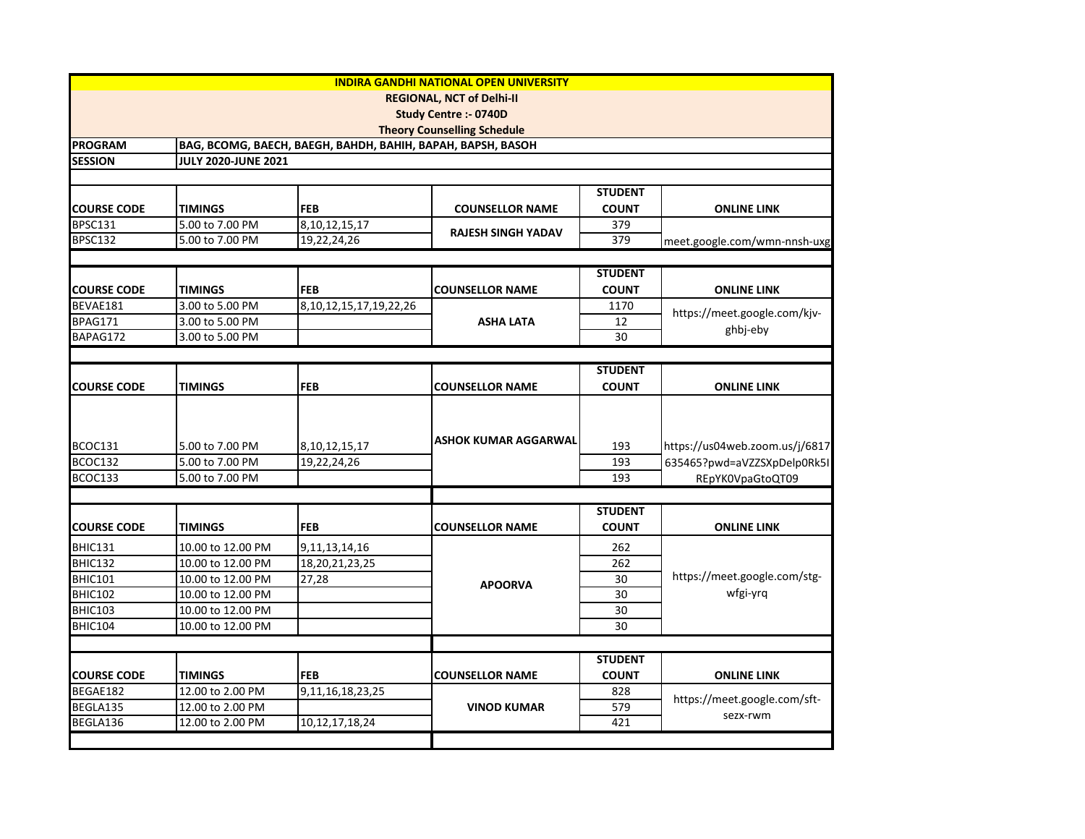|                    |                                        |                                                             | <b>INDIRA GANDHI NATIONAL OPEN UNIVERSITY</b> |                |                                          |
|--------------------|----------------------------------------|-------------------------------------------------------------|-----------------------------------------------|----------------|------------------------------------------|
|                    |                                        |                                                             | <b>REGIONAL, NCT of Delhi-II</b>              |                |                                          |
|                    |                                        |                                                             | <b>Study Centre :- 0740D</b>                  |                |                                          |
|                    |                                        |                                                             | <b>Theory Counselling Schedule</b>            |                |                                          |
| <b>PROGRAM</b>     |                                        | BAG, BCOMG, BAECH, BAEGH, BAHDH, BAHIH, BAPAH, BAPSH, BASOH |                                               |                |                                          |
| <b>SESSION</b>     | <b>JULY 2020-JUNE 2021</b>             |                                                             |                                               |                |                                          |
|                    |                                        |                                                             |                                               |                |                                          |
|                    |                                        |                                                             |                                               | <b>STUDENT</b> |                                          |
| <b>COURSE CODE</b> | <b>TIMINGS</b>                         | <b>FEB</b>                                                  | <b>COUNSELLOR NAME</b>                        | <b>COUNT</b>   | <b>ONLINE LINK</b>                       |
| BPSC131            | 5.00 to 7.00 PM                        | 8, 10, 12, 15, 17                                           | RAJESH SINGH YADAV                            | 379            |                                          |
| BPSC132            | 5.00 to 7.00 PM                        | 19,22,24,26                                                 |                                               | 379            | meet.google.com/wmn-nnsh-uxg             |
|                    |                                        |                                                             |                                               |                |                                          |
|                    |                                        |                                                             |                                               | <b>STUDENT</b> |                                          |
| <b>COURSE CODE</b> | TIMINGS                                | <b>FEB</b>                                                  | <b>COUNSELLOR NAME</b>                        | <b>COUNT</b>   | <b>ONLINE LINK</b>                       |
| BEVAE181           | 3.00 to 5.00 PM                        | 8, 10, 12, 15, 17, 19, 22, 26                               |                                               | 1170           | https://meet.google.com/kjv-             |
| BPAG171            | 3.00 to 5.00 PM                        |                                                             | <b>ASHA LATA</b>                              | 12             | ghbj-eby                                 |
| BAPAG172           | 3.00 to 5.00 PM                        |                                                             |                                               | 30             |                                          |
|                    |                                        |                                                             |                                               |                |                                          |
|                    |                                        |                                                             |                                               | <b>STUDENT</b> |                                          |
| <b>COURSE CODE</b> | <b>TIMINGS</b>                         | FEB                                                         | <b>COUNSELLOR NAME</b>                        | <b>COUNT</b>   | <b>ONLINE LINK</b>                       |
|                    |                                        |                                                             |                                               |                |                                          |
|                    |                                        |                                                             |                                               |                |                                          |
| BCOC131            | 5.00 to 7.00 PM                        |                                                             | <b>ASHOK KUMAR AGGARWAL</b>                   | 193            | https://us04web.zoom.us/j/6817           |
| BCOC132            | 5.00 to 7.00 PM                        | 8, 10, 12, 15, 17                                           |                                               | 193            | 635465?pwd=aVZZSXpDelp0Rk5I              |
| BCOC133            | 5.00 to 7.00 PM                        | 19,22,24,26                                                 |                                               | 193            | REpYK0VpaGtoQT09                         |
|                    |                                        |                                                             |                                               |                |                                          |
|                    |                                        |                                                             |                                               | <b>STUDENT</b> |                                          |
| <b>COURSE CODE</b> | TIMINGS                                | FEB                                                         | <b>COUNSELLOR NAME</b>                        | <b>COUNT</b>   | <b>ONLINE LINK</b>                       |
|                    |                                        |                                                             |                                               |                |                                          |
| BHIC131            | 10.00 to 12.00 PM                      | 9, 11, 13, 14, 16                                           |                                               | 262            | https://meet.google.com/stg-<br>wfgi-yrq |
| BHIC132            | 10.00 to 12.00 PM                      | 18,20,21,23,25                                              |                                               | 262            |                                          |
| BHIC101            | 10.00 to 12.00 PM<br>10.00 to 12.00 PM | 27,28                                                       | <b>APOORVA</b>                                | 30             |                                          |
| <b>BHIC102</b>     |                                        |                                                             |                                               | 30<br>30       |                                          |
| <b>BHIC103</b>     | 10.00 to 12.00 PM                      |                                                             |                                               | 30             |                                          |
| BHIC104            | 10.00 to 12.00 PM                      |                                                             |                                               |                |                                          |
|                    |                                        |                                                             |                                               |                |                                          |
|                    |                                        |                                                             |                                               | <b>STUDENT</b> |                                          |
| <b>COURSE CODE</b> | <b>TIMINGS</b>                         | FEB                                                         | <b>COUNSELLOR NAME</b>                        | <b>COUNT</b>   | <b>ONLINE LINK</b>                       |
| BEGAE182           | 12.00 to 2.00 PM                       | 9,11,16,18,23,25                                            |                                               | 828            | https://meet.google.com/sft-<br>sezx-rwm |
| BEGLA135           | 12.00 to 2.00 PM                       |                                                             | <b>VINOD KUMAR</b>                            | 579            |                                          |
| BEGLA136           | 12.00 to 2.00 PM                       | 10,12,17,18,24                                              |                                               | 421            |                                          |
|                    |                                        |                                                             |                                               |                |                                          |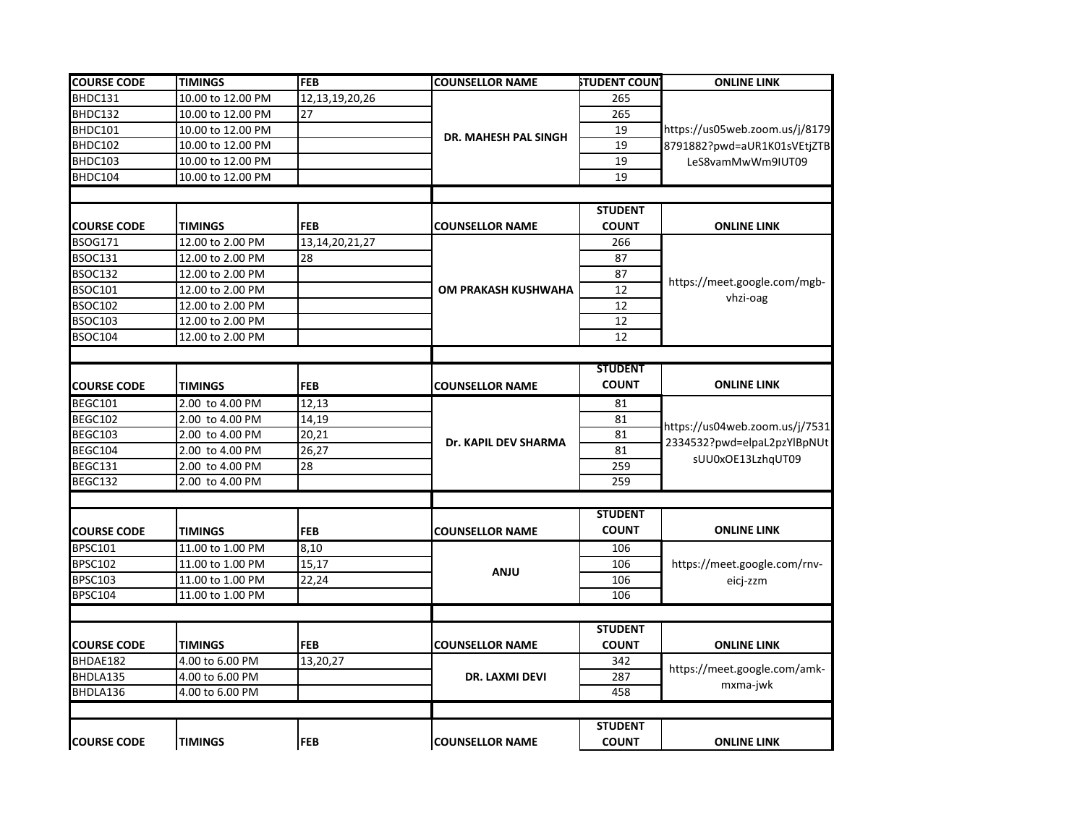| <b>COURSE CODE</b> | <b>TIMINGS</b>    | <b>FEB</b>         | <b>COUNSELLOR NAME</b> | <b>STUDENT COUN</b> | <b>ONLINE LINK</b>                                                                 |
|--------------------|-------------------|--------------------|------------------------|---------------------|------------------------------------------------------------------------------------|
| BHDC131            | 10.00 to 12.00 PM | 12, 13, 19, 20, 26 |                        | 265                 |                                                                                    |
| BHDC132            | 10.00 to 12.00 PM | 27                 |                        | 265                 |                                                                                    |
| BHDC101            | 10.00 to 12.00 PM |                    | DR. MAHESH PAL SINGH   | 19                  | https://us05web.zoom.us/j/8179<br>8791882?pwd=aUR1K01sVEtjZTB                      |
| BHDC102            | 10.00 to 12.00 PM |                    |                        | 19                  |                                                                                    |
| BHDC103            | 10.00 to 12.00 PM |                    |                        | 19                  | LeS8vamMwWm9IUT09                                                                  |
| BHDC104            | 10.00 to 12.00 PM |                    |                        | 19                  |                                                                                    |
|                    |                   |                    |                        |                     |                                                                                    |
|                    |                   |                    |                        | <b>STUDENT</b>      |                                                                                    |
| <b>COURSE CODE</b> | <b>TIMINGS</b>    | <b>FEB</b>         | <b>COUNSELLOR NAME</b> | <b>COUNT</b>        | <b>ONLINE LINK</b>                                                                 |
| <b>BSOG171</b>     | 12.00 to 2.00 PM  | 13, 14, 20, 21, 27 |                        | 266                 |                                                                                    |
| BSOC131            | 12.00 to 2.00 PM  | 28                 |                        | 87                  | https://meet.google.com/mgb-<br>vhzi-oag                                           |
| BSOC132            | 12.00 to 2.00 PM  |                    |                        | 87                  |                                                                                    |
| <b>BSOC101</b>     | 12.00 to 2.00 PM  |                    | OM PRAKASH KUSHWAHA    | $\overline{12}$     |                                                                                    |
| <b>BSOC102</b>     | 12.00 to 2.00 PM  |                    |                        | 12                  |                                                                                    |
| <b>BSOC103</b>     | 12.00 to 2.00 PM  |                    |                        | 12                  |                                                                                    |
| <b>BSOC104</b>     | 12.00 to 2.00 PM  |                    |                        | 12                  |                                                                                    |
|                    |                   |                    |                        |                     |                                                                                    |
|                    |                   |                    |                        | <b>STUDENT</b>      |                                                                                    |
| <b>COURSE CODE</b> | <b>TIMINGS</b>    | <b>FEB</b>         | <b>COUNSELLOR NAME</b> | <b>COUNT</b>        | <b>ONLINE LINK</b>                                                                 |
| BEGC101            | 2.00 to 4.00 PM   | 12,13              |                        | 81                  |                                                                                    |
| BEGC102            | 2.00 to 4.00 PM   | 14,19              |                        | 81                  | https://us04web.zoom.us/j/7531<br>2334532?pwd=elpaL2pzYlBpNUt<br>sUU0xOE13LzhqUT09 |
| BEGC103            | 2.00 to 4.00 PM   | 20,21              |                        | 81                  |                                                                                    |
| BEGC104            | 2.00 to 4.00 PM   | 26,27              | Dr. KAPIL DEV SHARMA   | 81                  |                                                                                    |
| BEGC131            | 2.00 to 4.00 PM   | 28                 |                        | 259                 |                                                                                    |
| BEGC132            | 2.00 to 4.00 PM   |                    |                        | 259                 |                                                                                    |
|                    |                   |                    |                        |                     |                                                                                    |
|                    |                   |                    |                        | <b>STUDENT</b>      |                                                                                    |
| <b>COURSE CODE</b> | <b>TIMINGS</b>    | <b>FEB</b>         | <b>COUNSELLOR NAME</b> | <b>COUNT</b>        | <b>ONLINE LINK</b>                                                                 |
| <b>BPSC101</b>     | 11.00 to 1.00 PM  | 8,10               |                        | 106                 |                                                                                    |
| <b>BPSC102</b>     | 11.00 to 1.00 PM  | 15,17              |                        | 106                 | https://meet.google.com/rnv-                                                       |
| <b>BPSC103</b>     | 11.00 to 1.00 PM  | 22,24              | <b>ANJU</b>            | 106                 | eicj-zzm                                                                           |
| <b>BPSC104</b>     | 11.00 to 1.00 PM  |                    |                        | 106                 |                                                                                    |
|                    |                   |                    |                        |                     |                                                                                    |
|                    |                   |                    |                        | <b>STUDENT</b>      |                                                                                    |
| <b>COURSE CODE</b> | <b>TIMINGS</b>    | <b>FEB</b>         | <b>COUNSELLOR NAME</b> | <b>COUNT</b>        | <b>ONLINE LINK</b>                                                                 |
| BHDAE182           | 4.00 to 6.00 PM   | 13,20,27           |                        | 342                 |                                                                                    |
| BHDLA135           | 4.00 to 6.00 PM   |                    | DR. LAXMI DEVI         | 287                 | https://meet.google.com/amk-                                                       |
| BHDLA136           | 4.00 to 6.00 PM   |                    |                        | 458                 | mxma-jwk                                                                           |
|                    |                   |                    |                        |                     |                                                                                    |
|                    |                   |                    |                        | <b>STUDENT</b>      |                                                                                    |
| <b>COURSE CODE</b> | <b>TIMINGS</b>    | <b>FEB</b>         | <b>COUNSELLOR NAME</b> | <b>COUNT</b>        | <b>ONLINE LINK</b>                                                                 |